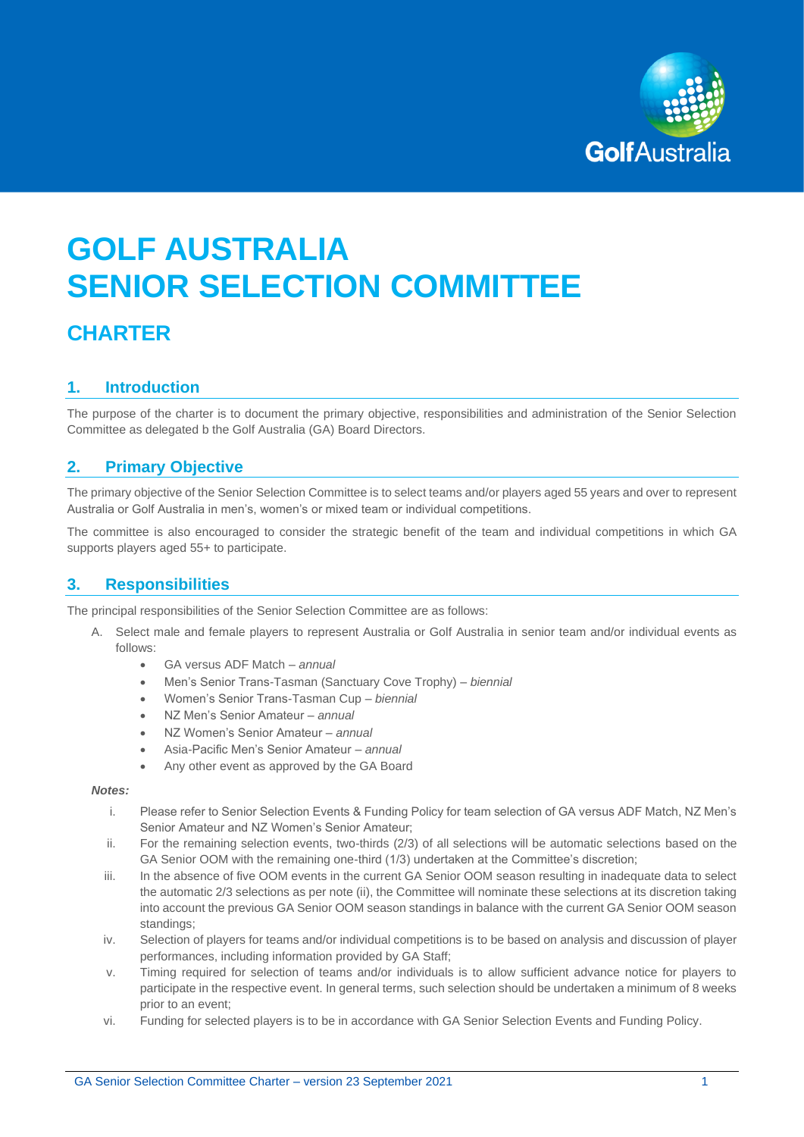

# **GOLF AUSTRALIA SENIOR SELECTION COMMITTEE**

## **CHARTER**

## **1. Introduction**

The purpose of the charter is to document the primary objective, responsibilities and administration of the Senior Selection Committee as delegated b the Golf Australia (GA) Board Directors.

## **2. Primary Objective**

The primary objective of the Senior Selection Committee is to select teams and/or players aged 55 years and over to represent Australia or Golf Australia in men's, women's or mixed team or individual competitions.

The committee is also encouraged to consider the strategic benefit of the team and individual competitions in which GA supports players aged 55+ to participate.

## **3. Responsibilities**

The principal responsibilities of the Senior Selection Committee are as follows:

- A. Select male and female players to represent Australia or Golf Australia in senior team and/or individual events as follows:
	- GA versus ADF Match *annual*
	- Men's Senior Trans-Tasman (Sanctuary Cove Trophy) *biennial*
	- Women's Senior Trans-Tasman Cup *biennial*
	- NZ Men's Senior Amateur *annual*
	- NZ Women's Senior Amateur *annual*
	- Asia-Pacific Men's Senior Amateur *annual*
	- Any other event as approved by the GA Board

#### *Notes:*

- i. Please refer to Senior Selection Events & Funding Policy for team selection of GA versus ADF Match, NZ Men's Senior Amateur and NZ Women's Senior Amateur;
- ii. For the remaining selection events, two-thirds (2/3) of all selections will be automatic selections based on the GA Senior OOM with the remaining one-third (1/3) undertaken at the Committee's discretion;
- iii. In the absence of five OOM events in the current GA Senior OOM season resulting in inadequate data to select the automatic 2/3 selections as per note (ii), the Committee will nominate these selections at its discretion taking into account the previous GA Senior OOM season standings in balance with the current GA Senior OOM season standings;
- iv. Selection of players for teams and/or individual competitions is to be based on analysis and discussion of player performances, including information provided by GA Staff;
- v. Timing required for selection of teams and/or individuals is to allow sufficient advance notice for players to participate in the respective event. In general terms, such selection should be undertaken a minimum of 8 weeks prior to an event;
- vi. Funding for selected players is to be in accordance with GA Senior Selection Events and Funding Policy.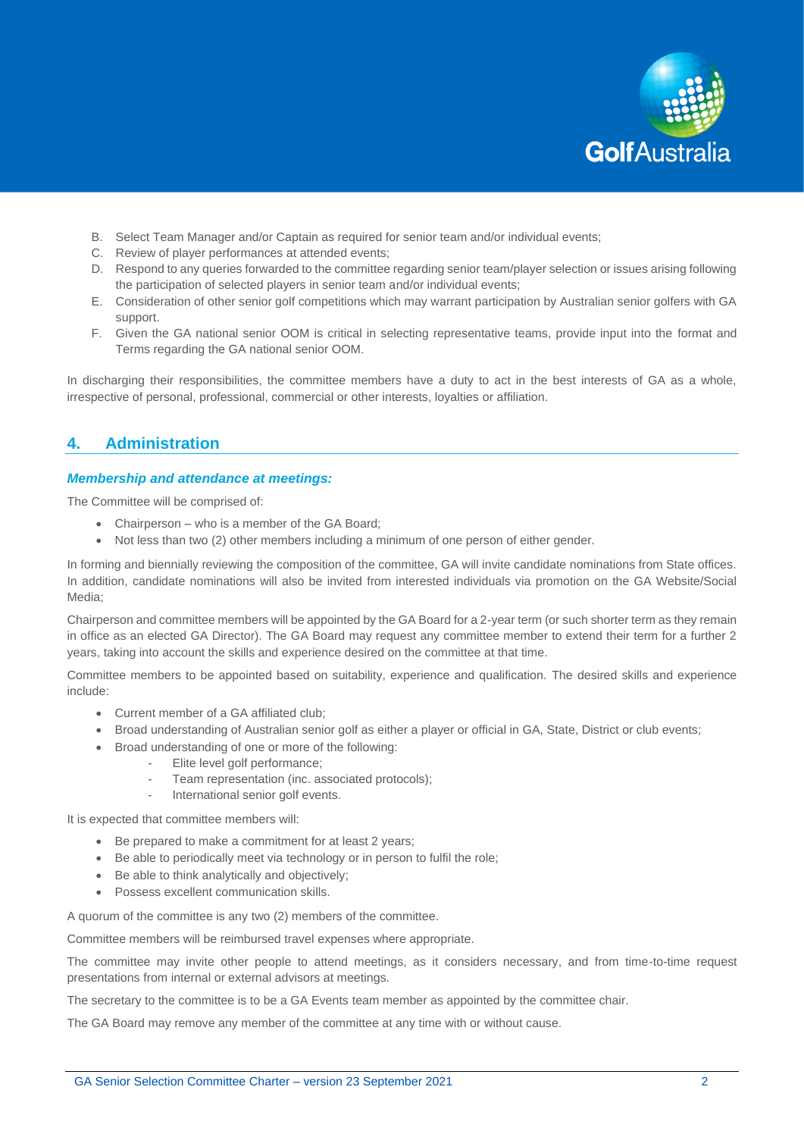

- B. Select Team Manager and/or Captain as required for senior team and/or individual events;
- C. Review of player performances at attended events;
- D. Respond to any queries forwarded to the committee regarding senior team/player selection or issues arising following the participation of selected players in senior team and/or individual events;
- E. Consideration of other senior golf competitions which may warrant participation by Australian senior golfers with GA support.
- F. Given the GA national senior OOM is critical in selecting representative teams, provide input into the format and Terms regarding the GA national senior OOM.

In discharging their responsibilities, the committee members have a duty to act in the best interests of GA as a whole, irrespective of personal, professional, commercial or other interests, loyalties or affiliation.

## **4. Administration**

#### *Membership and attendance at meetings:*

The Committee will be comprised of:

- Chairperson who is a member of the GA Board;
- Not less than two (2) other members including a minimum of one person of either gender.

In forming and biennially reviewing the composition of the committee, GA will invite candidate nominations from State offices. In addition, candidate nominations will also be invited from interested individuals via promotion on the GA Website/Social Media;

Chairperson and committee members will be appointed by the GA Board for a 2-year term (or such shorter term as they remain in office as an elected GA Director). The GA Board may request any committee member to extend their term for a further 2 years, taking into account the skills and experience desired on the committee at that time.

Committee members to be appointed based on suitability, experience and qualification. The desired skills and experience include:

- Current member of a GA affiliated club;
- Broad understanding of Australian senior golf as either a player or official in GA, State, District or club events;
- Broad understanding of one or more of the following:
	- Elite level golf performance;
	- Team representation (inc. associated protocols);
	- International senior golf events.

It is expected that committee members will:

- Be prepared to make a commitment for at least 2 years;
- Be able to periodically meet via technology or in person to fulfil the role;
- Be able to think analytically and objectively;
- Possess excellent communication skills.

A quorum of the committee is any two (2) members of the committee.

Committee members will be reimbursed travel expenses where appropriate.

The committee may invite other people to attend meetings, as it considers necessary, and from time-to-time request presentations from internal or external advisors at meetings.

The secretary to the committee is to be a GA Events team member as appointed by the committee chair.

The GA Board may remove any member of the committee at any time with or without cause.